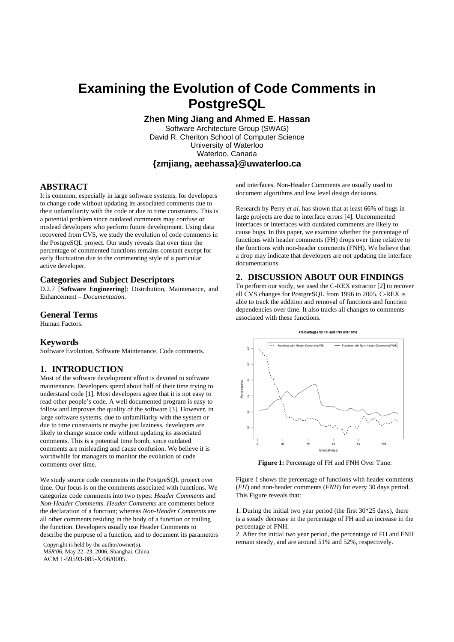# **Examining the Evolution of Code Comments in PostgreSQL**

**Zhen Ming Jiang and Ahmed E. Hassan** 

Software Architecture Group (SWAG) David R. Cheriton School of Computer Science University of Waterloo Waterloo, Canada **{zmjiang, aeehassa}@uwaterloo.ca**

## **ABSTRACT**

It is common, especially in large software systems, for developers to change code without updating its associated comments due to their unfamiliarity with the code or due to time constraints. This is a potential problem since outdated comments may confuse or mislead developers who perform future development. Using data recovered from CVS, we study the evolution of code comments in the PostgreSQL project. Our study reveals that over time the percentage of commented functions remains constant except for early fluctuation due to the commenting style of a particular active developer.

#### **Categories and Subject Descriptors**

D.2.7 [**Software Engineering**]: Distribution, Maintenance, and Enhancement – *Documentation.* 

### **General Terms**

Human Factors.

#### **Keywords**

Software Evolution, Software Maintenance, Code comments.

#### **1. INTRODUCTION**

Most of the software development effort is devoted to software maintenance. Developers spend about half of their time trying to understand code [1]. Most developers agree that it is not easy to read other people's code. A well documented program is easy to follow and improves the quality of the software [3]. However, in large software systems, due to unfamiliarity with the system or due to time constraints or maybe just laziness, developers are likely to change source code without updating its associated comments. This is a potential time bomb, since outdated comments are misleading and cause confusion. We believe it is worthwhile for managers to monitor the evolution of code comments over time.

We study source code comments in the PostgreSQL project over time. Our focus is on the comments associated with functions. We categorize code comments into two types: *Header Comments* and *Non-Header Comments*. *Header Comments* are comments before the declaration of a function; whereas *Non-Header Comments* are all other comments residing in the body of a function or trailing the function. Developers usually use Header Comments to describe the purpose of a function, and to document its parameters

*MSR'06*, May 22–23, 2006, Shanghai, China. ACM 1-59593-085-X/06/0005.

and interfaces. Non-Header Comments are usually used to document algorithms and low level design decisions.

Research by Perry *et al*. has shown that at least 66% of bugs in large projects are due to interface errors [4]. Uncommented interfaces or interfaces with outdated comments are likely to cause bugs. In this paper, we examine whether the percentage of functions with header comments (FH) drops over time relative to the functions with non-header comments (FNH). We believe that a drop may indicate that developers are not updating the interface documentations.

#### **2. DISCUSSION ABOUT OUR FINDINGS**

To perform our study, we used the C-REX extractor [2] to recover all CVS changes for PostgreSQL from 1996 to 2005. C-REX is able to track the addition and removal of functions and function dependencies over time. It also tracks all changes to comments associated with these functions.



**Figure 1:** Percentage of FH and FNH Over Time.

Figure 1 shows the percentage of functions with header comments (*FH*) and non-header comments (*FNH*) for every 30 days period. This Figure reveals that:

1. During the initial two year period (the first 30\*25 days), there is a steady decrease in the percentage of FH and an increase in the percentage of FNH.

2. After the initial two year period, the percentage of FH and FNH remain steady, and are around 51% and 52%, respectively. Copyright is held by the author/owner(s).